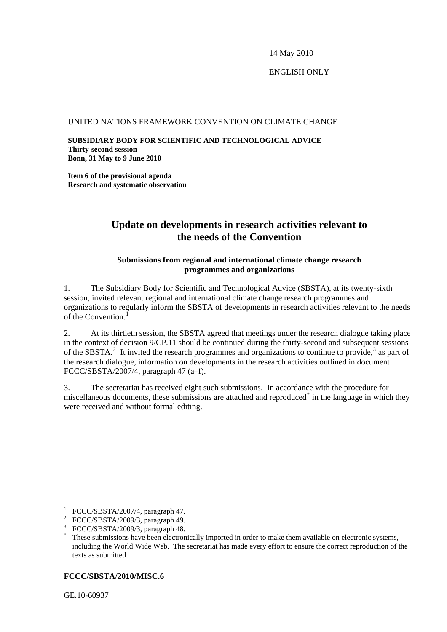14 May 2010

## ENGLISH ONLY[\\*](#page-0-0)

#### UNITED NATIONS FRAMEWORK CONVENTION ON CLIMATE CHANGE

**SUBSIDIARY BODY FOR SCIENTIFIC AND TECHNOLOGICAL ADVICE Thirty-second session Bonn, 31 May to 9 June 2010** 

**Item 6 of the provisional agenda Research and systematic observation** 

# **Update on developments in research activities relevant to the needs of the Convention**

### **Submissions from regional and international climate change research programmes and organizations**

1. The Subsidiary Body for Scientific and Technological Advice (SBSTA), at its twenty-sixth session, invited relevant regional and international climate change research programmes and organizations to regularly inform the SBSTA of developments in research activities relevant to the needs of the Convention.<sup>[1](#page-0-1)</sup>

2. At its thirtieth session, the SBSTA agreed that meetings under the research dialogue taking place in the context of decision 9/CP.11 should be continued during the thirty-second and subsequent sessions of the SBSTA.<sup>[2](#page-0-2)</sup> It invited the research programmes and organizations to continue to provide,<sup>[3](#page-0-3)</sup> as part of the research dialogue, information on developments in the research activities outlined in document FCCC/SBSTA/2007/4, paragraph 47 (a–f).

3. The secretariat has received eight such submissions. In accordance with the procedure for miscellaneous documents, these submissions are attached and reproduced<sup>[\\*](#page-0-4)</sup> in the language in which they were received and without formal editing.

### <span id="page-0-4"></span>**FCCC/SBSTA/2010/MISC.6**

GE.10-60937

1

<span id="page-0-1"></span><span id="page-0-0"></span><sup>1</sup> FCCC/SBSTA/2007/4, paragraph 47.

<span id="page-0-2"></span><sup>&</sup>lt;sup>2</sup> FCCC/SBSTA/2009/3, paragraph 49.

<span id="page-0-3"></span><sup>3</sup> FCCC/SBSTA/2009/3, paragraph 48.

<sup>\*</sup> These submissions have been electronically imported in order to make them available on electronic systems, including the World Wide Web. The secretariat has made every effort to ensure the correct reproduction of the texts as submitted.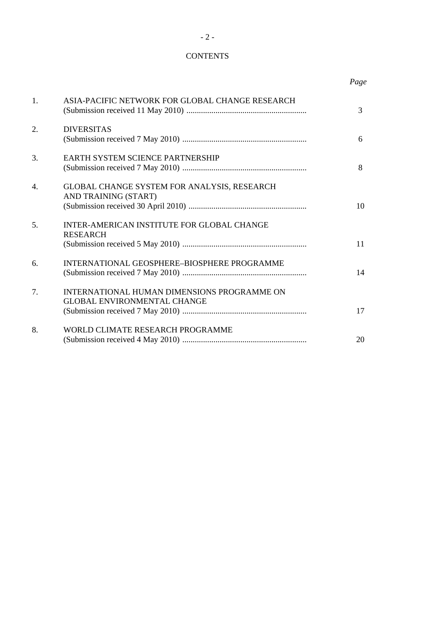## **CONTENTS**

 *Page* 

| 1. | ASIA-PACIFIC NETWORK FOR GLOBAL CHANGE RESEARCH                                   | $\overline{3}$ |
|----|-----------------------------------------------------------------------------------|----------------|
| 2. | <b>DIVERSITAS</b>                                                                 | 6              |
| 3. | <b>EARTH SYSTEM SCIENCE PARTNERSHIP</b>                                           | 8              |
| 4. | GLOBAL CHANGE SYSTEM FOR ANALYSIS, RESEARCH<br>AND TRAINING (START)               | 10             |
| 5. | INTER-AMERICAN INSTITUTE FOR GLOBAL CHANGE<br><b>RESEARCH</b>                     | 11             |
| 6. | INTERNATIONAL GEOSPHERE-BIOSPHERE PROGRAMME                                       | 14             |
| 7. | INTERNATIONAL HUMAN DIMENSIONS PROGRAMME ON<br><b>GLOBAL ENVIRONMENTAL CHANGE</b> | 17             |
| 8. | WORLD CLIMATE RESEARCH PROGRAMME                                                  | 20             |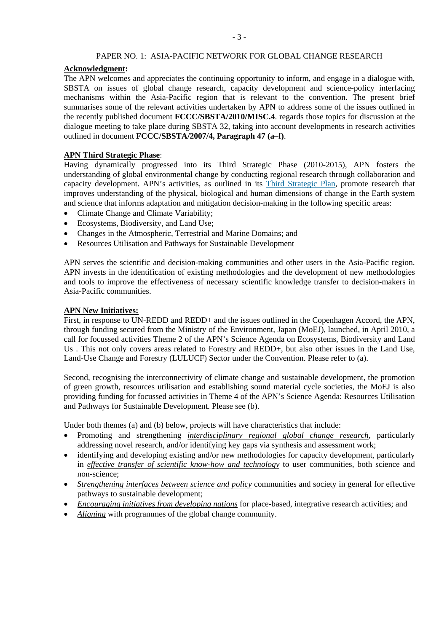#### PAPER NO. 1: ASIA-PACIFIC NETWORK FOR GLOBAL CHANGE RESEARCH

#### **Acknowledgment:**

The APN welcomes and appreciates the continuing opportunity to inform, and engage in a dialogue with, SBSTA on issues of global change research, capacity development and science-policy interfacing mechanisms within the Asia-Pacific region that is relevant to the convention. The present brief summarises some of the relevant activities undertaken by APN to address some of the issues outlined in the recently published document **FCCC/SBSTA/2010/MISC.4**. regards those topics for discussion at the dialogue meeting to take place during SBSTA 32, taking into account developments in research activities outlined in document **FCCC/SBSTA/2007/4, Paragraph 47 (a–f)**.

#### **APN Third Strategic Phase**:

Having dynamically progressed into its Third Strategic Phase (2010-2015), APN fosters the understanding of global environmental change by conducting regional research through collaboration and capacity development. APN's activities, as outlined in its [Third Strategic Plan,](http://www.apn-gcr.org/newAPN/resources/evaluationReportAndStrategicPlan/thirdStrategicPlan.pdf) promote research that improves understanding of the physical, biological and human dimensions of change in the Earth system and science that informs adaptation and mitigation decision-making in the following specific areas:

- Climate Change and Climate Variability;
- Ecosystems, Biodiversity, and Land Use;
- Changes in the Atmospheric, Terrestrial and Marine Domains; and
- Resources Utilisation and Pathways for Sustainable Development

APN serves the scientific and decision-making communities and other users in the Asia-Pacific region. APN invests in the identification of existing methodologies and the development of new methodologies and tools to improve the effectiveness of necessary scientific knowledge transfer to decision-makers in Asia-Pacific communities.

#### **APN New Initiatives:**

First, in response to UN-REDD and REDD+ and the issues outlined in the Copenhagen Accord, the APN, through funding secured from the Ministry of the Environment, Japan (MoEJ), launched, in April 2010, a call for focussed activities Theme 2 of the APN's Science Agenda on Ecosystems, Biodiversity and Land Us . This not only covers areas related to Forestry and REDD+, but also other issues in the Land Use, Land-Use Change and Forestry (LULUCF) Sector under the Convention. Please refer to (a).

Second, recognising the interconnectivity of climate change and sustainable development, the promotion of green growth, resources utilisation and establishing sound material cycle societies, the MoEJ is also providing funding for focussed activities in Theme 4 of the APN's Science Agenda: Resources Utilisation and Pathways for Sustainable Development. Please see (b).

Under both themes (a) and (b) below, projects will have characteristics that include:

- Promoting and strengthening *interdisciplinary regional global change research*, particularly addressing novel research, and/or identifying key gaps via synthesis and assessment work;
- identifying and developing existing and/or new methodologies for capacity development, particularly in *effective transfer of scientific know-how and technology* to user communities, both science and non-science;
- *Strengthening interfaces between science and policy* communities and society in general for effective pathways to sustainable development;
- *Encouraging initiatives from developing nations* for place-based, integrative research activities; and
- *Aligning* with programmes of the global change community.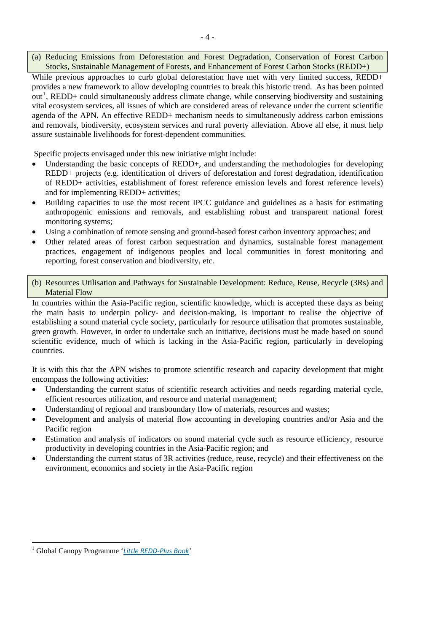(a) Reducing Emissions from Deforestation and Forest Degradation, Conservation of Forest Carbon Stocks, Sustainable Management of Forests, and Enhancement of Forest Carbon Stocks (REDD+)

While previous approaches to curb global deforestation have met with very limited success, REDD+ provides a new framework to allow developing countries to break this historic trend. As has been pointed out<sup>[1](#page-3-0)</sup>, REDD+ could simultaneously address climate change, while conserving biodiversity and sustaining vital ecosystem services, all issues of which are considered areas of relevance under the current scientific agenda of the APN. An effective REDD+ mechanism needs to simultaneously address carbon emissions and removals, biodiversity, ecosystem services and rural poverty alleviation. Above all else, it must help assure sustainable livelihoods for forest-dependent communities.

Specific projects envisaged under this new initiative might include:

- Understanding the basic concepts of REDD+, and understanding the methodologies for developing REDD+ projects (e.g. identification of drivers of deforestation and forest degradation, identification of REDD+ activities, establishment of forest reference emission levels and forest reference levels) and for implementing REDD+ activities;
- Building capacities to use the most recent IPCC guidance and guidelines as a basis for estimating anthropogenic emissions and removals, and establishing robust and transparent national forest monitoring systems;
- Using a combination of remote sensing and ground-based forest carbon inventory approaches; and
- Other related areas of forest carbon sequestration and dynamics, sustainable forest management practices, engagement of indigenous peoples and local communities in forest monitoring and reporting, forest conservation and biodiversity, etc.

(b) Resources Utilisation and Pathways for Sustainable Development: Reduce, Reuse, Recycle (3Rs) and Material Flow

In countries within the Asia-Pacific region, scientific knowledge, which is accepted these days as being the main basis to underpin policy- and decision-making, is important to realise the objective of establishing a sound material cycle society, particularly for resource utilisation that promotes sustainable, green growth. However, in order to undertake such an initiative, decisions must be made based on sound scientific evidence, much of which is lacking in the Asia-Pacific region, particularly in developing countries.

It is with this that the APN wishes to promote scientific research and capacity development that might encompass the following activities:

- Understanding the current status of scientific research activities and needs regarding material cycle, efficient resources utilization, and resource and material management;
- Understanding of regional and transboundary flow of materials, resources and wastes;
- Development and analysis of material flow accounting in developing countries and/or Asia and the Pacific region
- Estimation and analysis of indicators on sound material cycle such as resource efficiency, resource productivity in developing countries in the Asia-Pacific region; and
- Understanding the current status of 3R activities (reduce, reuse, recycle) and their effectiveness on the environment, economics and society in the Asia-Pacific region

l

<span id="page-3-0"></span><sup>1</sup> Global Canopy Programme '*Little [REDD](http://www.globalcanopy.org/themedia/file/PDFs/LRB_lowres/lrb_en.pdf)‐Plus Book*'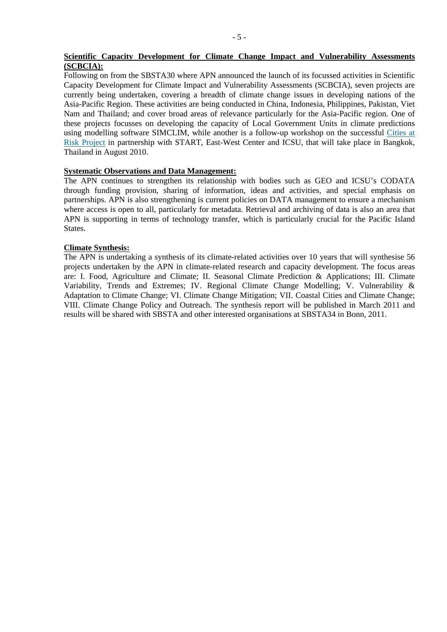## **Scientific Capacity Development for Climate Change Impact and Vulnerability Assessments (SCBCIA):**

Following on from the SBSTA30 where APN announced the launch of its focussed activities in Scientific Capacity Development for Climate Impact and Vulnerability Assessments (SCBCIA), seven projects are currently being undertaken, covering a breadth of climate change issues in developing nations of the Asia-Pacific Region. These activities are being conducted in China, Indonesia, Philippines, Pakistan, Viet Nam and Thailand; and cover broad areas of relevance particularly for the Asia-Pacific region. One of these projects focusses on developing the capacity of Local Government Units in climate predictions using modelling software SIMCLIM, while another is a follow-up workshop on the successful [Cities at](http://start.org/download/publications/CAR09-web.pdf)  [Risk Project](http://start.org/download/publications/CAR09-web.pdf) in partnership with START, East-West Center and ICSU, that will take place in Bangkok, Thailand in August 2010.

## **Systematic Observations and Data Management:**

The APN continues to strengthen its relationship with bodies such as GEO and ICSU's CODATA through funding provision, sharing of information, ideas and activities, and special emphasis on partnerships. APN is also strengthening is current policies on DATA management to ensure a mechanism where access is open to all, particularly for metadata. Retrieval and archiving of data is also an area that APN is supporting in terms of technology transfer, which is particularly crucial for the Pacific Island **States** 

#### **Climate Synthesis:**

The APN is undertaking a synthesis of its climate-related activities over 10 years that will synthesise 56 projects undertaken by the APN in climate-related research and capacity development. The focus areas are: I. Food, Agriculture and Climate; II. Seasonal Climate Prediction & Applications; III. Climate Variability, Trends and Extremes; IV. Regional Climate Change Modelling; V. Vulnerability & Adaptation to Climate Change; VI. Climate Change Mitigation; VII. Coastal Cities and Climate Change; VIII. Climate Change Policy and Outreach. The synthesis report will be published in March 2011 and results will be shared with SBSTA and other interested organisations at SBSTA34 in Bonn, 2011.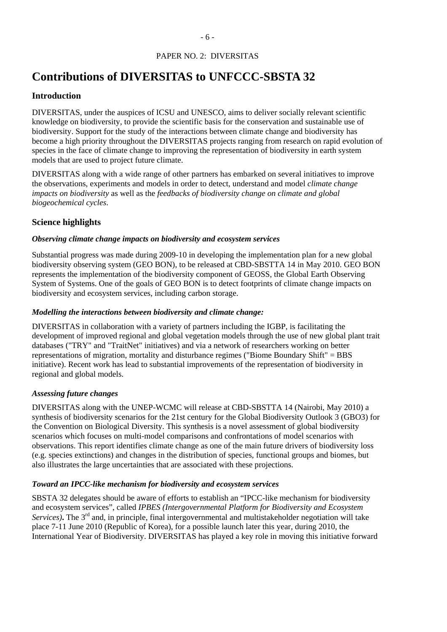# PAPER NO. 2: DIVERSITAS

# **Contributions of DIVERSITAS to UNFCCC-SBSTA 32**

## **Introduction**

DIVERSITAS, under the auspices of ICSU and UNESCO, aims to deliver socially relevant scientific knowledge on biodiversity, to provide the scientific basis for the conservation and sustainable use of biodiversity. Support for the study of the interactions between climate change and biodiversity has become a high priority throughout the DIVERSITAS projects ranging from research on rapid evolution of species in the face of climate change to improving the representation of biodiversity in earth system models that are used to project future climate.

DIVERSITAS along with a wide range of other partners has embarked on several initiatives to improve the observations, experiments and models in order to detect, understand and model *climate change impacts on biodiversity* as well as the *feedbacks of biodiversity change on climate and global biogeochemical cycles*.

## **Science highlights**

## *Observing climate change impacts on biodiversity and ecosystem services*

Substantial progress was made during 2009-10 in developing the implementation plan for a new global biodiversity observing system (GEO BON), to be released at CBD-SBSTTA 14 in May 2010. GEO BON represents the implementation of the biodiversity component of GEOSS, the Global Earth Observing System of Systems. One of the goals of GEO BON is to detect footprints of climate change impacts on biodiversity and ecosystem services, including carbon storage.

### *Modelling the interactions between biodiversity and climate change:*

DIVERSITAS in collaboration with a variety of partners including the IGBP, is facilitating the development of improved regional and global vegetation models through the use of new global plant trait databases ("TRY" and "TraitNet" initiatives) and via a network of researchers working on better representations of migration, mortality and disturbance regimes ("Biome Boundary Shift" = BBS initiative). Recent work has lead to substantial improvements of the representation of biodiversity in regional and global models.

## *Assessing future changes*

DIVERSITAS along with the UNEP-WCMC will release at CBD-SBSTTA 14 (Nairobi, May 2010) a synthesis of biodiversity scenarios for the 21st century for the Global Biodiversity Outlook 3 (GBO3) for the Convention on Biological Diversity. This synthesis is a novel assessment of global biodiversity scenarios which focuses on multi-model comparisons and confrontations of model scenarios with observations. This report identifies climate change as one of the main future drivers of biodiversity loss (e.g. species extinctions) and changes in the distribution of species, functional groups and biomes, but also illustrates the large uncertainties that are associated with these projections.

## *Toward an IPCC-like mechanism for biodiversity and ecosystem services*

SBSTA 32 delegates should be aware of efforts to establish an "IPCC-like mechanism for biodiversity and ecosystem services", called *IPBES (Intergovernmental Platform for Biodiversity and Ecosystem Services*). The 3<sup>rd</sup> and, in principle, final intergovernmental and multistakeholder negotiation will take place 7-11 June 2010 (Republic of Korea), for a possible launch later this year, during 2010, the International Year of Biodiversity. DIVERSITAS has played a key role in moving this initiative forward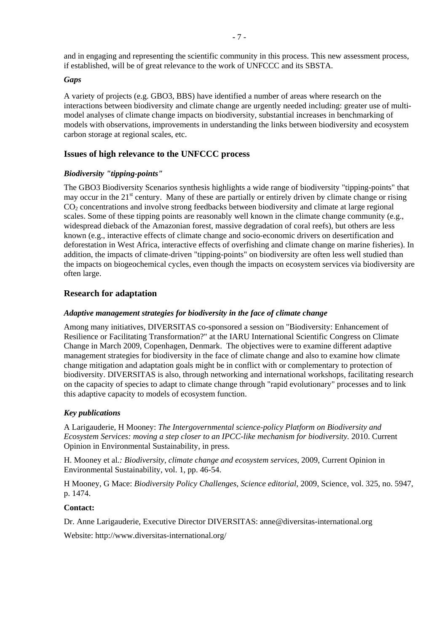and in engaging and representing the scientific community in this process. This new assessment process, if established, will be of great relevance to the work of UNFCCC and its SBSTA.

#### *Gaps*

A variety of projects (e.g. GBO3, BBS) have identified a number of areas where research on the interactions between biodiversity and climate change are urgently needed including: greater use of multimodel analyses of climate change impacts on biodiversity, substantial increases in benchmarking of models with observations, improvements in understanding the links between biodiversity and ecosystem carbon storage at regional scales, etc.

## **Issues of high relevance to the UNFCCC process**

### *Biodiversity "tipping-points"*

The GBO3 Biodiversity Scenarios synthesis highlights a wide range of biodiversity "tipping-points" that may occur in the  $21<sup>st</sup>$  century. Many of these are partially or entirely driven by climate change or rising CO2 concentrations and involve strong feedbacks between biodiversity and climate at large regional scales. Some of these tipping points are reasonably well known in the climate change community (e.g., widespread dieback of the Amazonian forest, massive degradation of coral reefs), but others are less known (e.g., interactive effects of climate change and socio-economic drivers on desertification and deforestation in West Africa, interactive effects of overfishing and climate change on marine fisheries). In addition, the impacts of climate-driven "tipping-points" on biodiversity are often less well studied than the impacts on biogeochemical cycles, even though the impacts on ecosystem services via biodiversity are often large.

## **Research for adaptation**

## *Adaptive management strategies for biodiversity in the face of climate change*

Among many initiatives, DIVERSITAS co-sponsored a session on "Biodiversity: Enhancement of Resilience or Facilitating Transformation?" at the IARU International Scientific Congress on Climate Change in March 2009, Copenhagen, Denmark. The objectives were to examine different adaptive management strategies for biodiversity in the face of climate change and also to examine how climate change mitigation and adaptation goals might be in conflict with or complementary to protection of biodiversity. DIVERSITAS is also, through networking and international workshops, facilitating research on the capacity of species to adapt to climate change through "rapid evolutionary" processes and to link this adaptive capacity to models of ecosystem function.

## *Key publications*

A Larigauderie, H Mooney: *The Intergovernmental science-policy Platform on Biodiversity and Ecosystem Services: moving a step closer to an IPCC-like mechanism for biodiversity.* 2010. Current Opinion in Environmental Sustainability, in press.

H. Mooney et al*.: [Biodiversity, climate change and ecosystem services,](http://www.sciencedirect.com/science?_ob=ArticleURL&_udi=B985C-4WY5BTH-1&_user=128860&_coverDate=10%2F31%2F2009&_rdoc=9&_fmt=high&_orig=browse&_srch=doc-info(%23toc%2359095%232009%23999989998%231488174%23FLA%23display%23Volume)&_cdi=59095&_sort=d&_docanchor=&_ct=18&_acct=C000010638&_version=1&_urlVersion=0&_userid=128860&md5=84b53173be717c36f79486c452dd65f9)* 2009, Current Opinion in Environmental Sustainability, vol. 1, pp. 46-54.

H Mooney, G Mace: *[Biodiversity Policy Challenges, Science editorial](http://www.sciencemag.org/cgi/content/summary/325/5947/1474)*, 2009, Science, vol. 325, no. 5947, p. 1474.

#### **Contact:**

Dr. Anne Larigauderie, Executive Director DIVERSITAS: [anne@diversitas-international.org](mailto:anne@diversitas-international.org)

Website: http://www.diversitas-international.org/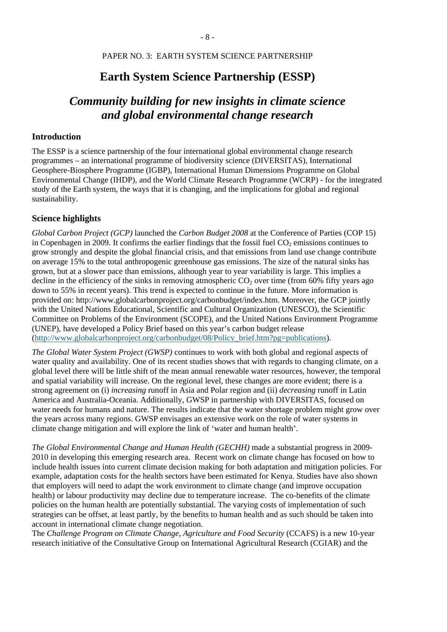#### PAPER NO. 3: EARTH SYSTEM SCIENCE PARTNERSHIP

# **Earth System Science Partnership (ESSP)**

# *Community building for new insights in climate science and global environmental change research*

#### **Introduction**

The ESSP is a science partnership of the four international global environmental change research programmes – an international programme of biodiversity science (DIVERSITAS), International Geosphere-Biosphere Programme (IGBP), International Human Dimensions Programme on Global Environmental Change (IHDP), and the World Climate Research Programme (WCRP) - for the integrated study of the Earth system, the ways that it is changing, and the implications for global and regional sustainability.

#### **Science highlights**

*Global Carbon Project (GCP)* launched the *Carbon Budget 2008* at the Conference of Parties (COP 15) in Copenhagen in 2009. It confirms the earlier findings that the fossil fuel  $CO<sub>2</sub>$  emissions continues to grow strongly and despite the global financial crisis, and that emissions from land use change contribute on average 15% to the total anthropogenic greenhouse gas emissions. The size of the natural sinks has grown, but at a slower pace than emissions, although year to year variability is large. This implies a decline in the efficiency of the sinks in removing atmospheric  $CO<sub>2</sub>$  over time (from 60% fifty years ago down to 55% in recent years). This trend is expected to continue in the future. More information is provided on: http://www.globalcarbonproject.org/carbonbudget/index.htm. Moreover, the GCP jointly with the United Nations Educational, Scientific and Cultural Organization (UNESCO), the Scientific Committee on Problems of the Environment (SCOPE), and the United Nations Environment Programme (UNEP), have developed a Policy Brief based on this year's carbon budget release [\(http://www.globalcarbonproject.org/carbonbudget/08/Policy\\_brief.htm?pg=publications\)](http://www.globalcarbonproject.org/carbonbudget/08/Policy_brief.htm?pg=publications).

*The Global Water System Project (GWSP)* continues to work with both global and regional aspects of water quality and availability. One of its recent studies shows that with regards to changing climate, on a global level there will be little shift of the mean annual renewable water resources, however, the temporal and spatial variability will increase. On the regional level, these changes are more evident; there is a strong agreement on (i) *increasing* runoff in Asia and Polar region and (ii) *decreasing* runoff in Latin America and Australia-Oceania. Additionally, GWSP in partnership with DIVERSITAS, focused on water needs for humans and nature. The results indicate that the water shortage problem might grow over the years across many regions. GWSP envisages an extensive work on the role of water systems in climate change mitigation and will explore the link of 'water and human health'.

*The Global Environmental Change and Human Health (GECHH)* made a substantial progress in 2009- 2010 in developing this emerging research area. Recent work on climate change has focused on how to include health issues into current climate decision making for both adaptation and mitigation policies. For example, adaptation costs for the health sectors have been estimated for Kenya. Studies have also shown that employers will need to adapt the work environment to climate change (and improve occupation health) or labour productivity may decline due to temperature increase. The co-benefits of the climate policies on the human health are potentially substantial. The varying costs of implementation of such strategies can be offset, at least partly, by the benefits to human health and as such should be taken into account in international climate change negotiation.

The *Challenge Program on Climate Change, Agriculture and Food Security* (CCAFS) is a new 10-year research initiative of the Consultative Group on International Agricultural Research (CGIAR) and the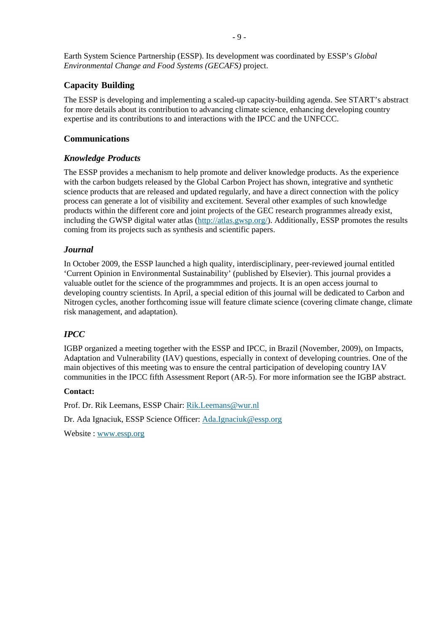# **Capacity Building**

The ESSP is developing and implementing a scaled-up capacity-building agenda. See START's abstract for more details about its contribution to advancing climate science, enhancing developing country expertise and its contributions to and interactions with the IPCC and the UNFCCC.

# **Communications**

## *Knowledge Products*

The ESSP provides a mechanism to help promote and deliver knowledge products. As the experience with the carbon budgets released by the Global Carbon Project has shown, integrative and synthetic science products that are released and updated regularly, and have a direct connection with the policy process can generate a lot of visibility and excitement. Several other examples of such knowledge products within the different core and joint projects of the GEC research programmes already exist, including the GWSP digital water atlas (<http://atlas.gwsp.org/>). Additionally, ESSP promotes the results coming from its projects such as synthesis and scientific papers.

# *Journal*

In October 2009, the ESSP launched a high quality, interdisciplinary, peer-reviewed journal entitled 'Current Opinion in Environmental Sustainability' (published by Elsevier). This journal provides a valuable outlet for the science of the programmmes and projects. It is an open access journal to developing country scientists. In April, a special edition of this journal will be dedicated to Carbon and Nitrogen cycles, another forthcoming issue will feature climate science (covering climate change, climate risk management, and adaptation).

# *IPCC*

IGBP organized a meeting together with the ESSP and IPCC, in Brazil (November, 2009), on Impacts, Adaptation and Vulnerability (IAV) questions, especially in context of developing countries. One of the main objectives of this meeting was to ensure the central participation of developing country IAV communities in the IPCC fifth Assessment Report (AR-5). For more information see the IGBP abstract.

## **Contact:**

Prof. Dr. Rik Leemans, ESSP Chair: [Rik.Leemans@wur.nl](mailto:Rik.Leemans@wur.nl)

Dr. Ada Ignaciuk, ESSP Science Officer: [Ada.Ignaciuk@essp.org](mailto:Ada.Ignaciuk@essp.org)

Website : [www.essp.org](http://www.essp.org/)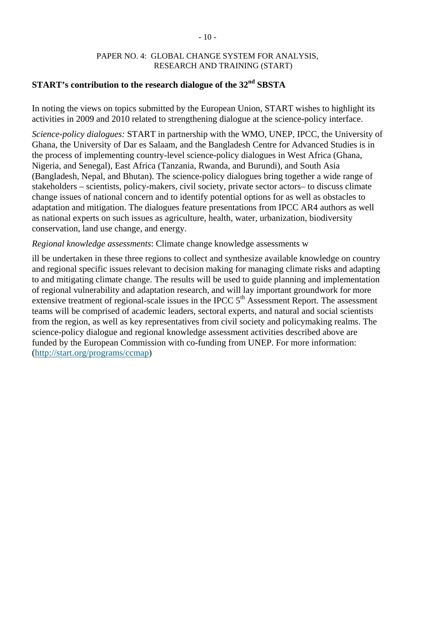## PAPER NO. 4: GLOBAL CHANGE SYSTEM FOR ANALYSIS, RESEARCH AND TRAINING (START)

# **START's contribution to the research dialogue of the 32nd SBSTA**

In noting the views on topics submitted by the European Union, START wishes to highlight its activities in 2009 and 2010 related to strengthening dialogue at the science-policy interface.

*Science-policy dialogues:* START in partnership with the WMO, UNEP, IPCC, the University of Ghana, the University of Dar es Salaam, and the Bangladesh Centre for Advanced Studies is in the process of implementing country-level science-policy dialogues in West Africa (Ghana, Nigeria, and Senegal), East Africa (Tanzania, Rwanda, and Burundi), and South Asia (Bangladesh, Nepal, and Bhutan). The science-policy dialogues bring together a wide range of stakeholders – scientists, policy-makers, civil society, private sector actors– to discuss climate change issues of national concern and to identify potential options for as well as obstacles to adaptation and mitigation. The dialogues feature presentations from IPCC AR4 authors as well as national experts on such issues as agriculture, health, water, urbanization, biodiversity conservation, land use change, and energy.

## *Regional knowledge assessments*: Climate change knowledge assessments w

ill be undertaken in these three regions to collect and synthesize available knowledge on country and regional specific issues relevant to decision making for managing climate risks and adapting to and mitigating climate change. The results will be used to guide planning and implementation of regional vulnerability and adaptation research, and will lay important groundwork for more extensive treatment of regional-scale issues in the IPCC  $5<sup>th</sup>$  Assessment Report. The assessment teams will be comprised of academic leaders, sectoral experts, and natural and social scientists from the region, as well as key representatives from civil society and policymaking realms. The science-policy dialogue and regional knowledge assessment activities described above are funded by the European Commission with co-funding from UNEP. For more information: (<http://start.org/programs/ccmap>)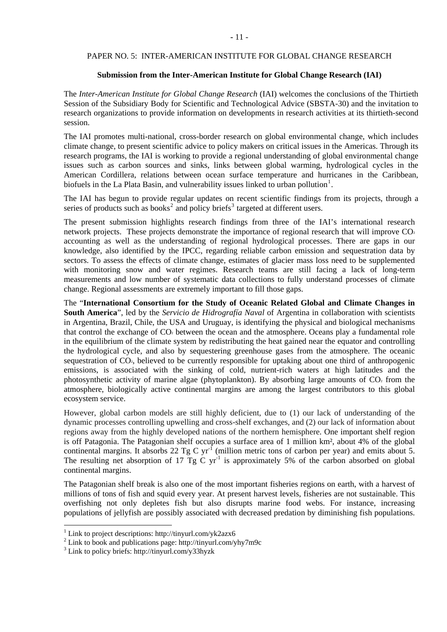#### PAPER NO. 5: INTER-AMERICAN INSTITUTE FOR GLOBAL CHANGE RESEARCH

#### **Submission from the Inter-American Institute for Global Change Research (IAI)**

The *Inter-American Institute for Global Change Research* (IAI) welcomes the conclusions of the Thirtieth Session of the Subsidiary Body for Scientific and Technological Advice (SBSTA-30) and the invitation to research organizations to provide information on developments in research activities at its thirtieth-second session.

The IAI promotes multi-national, cross-border research on global environmental change, which includes climate change, to present scientific advice to policy makers on critical issues in the Americas. Through its research programs, the IAI is working to provide a regional understanding of global environmental change issues such as carbon sources and sinks, links between global warming, hydrological cycles in the American Cordillera, relations between ocean surface temperature and hurricanes in the Caribbean, biofuels in the La Plata Basin, and vulnerability issues linked to urban pollution<sup>[1](#page-10-0)</sup>.

The IAI has begun to provide regular updates on recent scientific findings from its projects, through a series of products such as books<sup>[2](#page-10-1)</sup> and policy briefs<sup>[3](#page-10-2)</sup> targeted at different users.

The present submission highlights research findings from three of the IAI's international research network projects. These projects demonstrate the importance of regional research that will improve  $CO<sub>2</sub>$ accounting as well as the understanding of regional hydrological processes. There are gaps in our knowledge, also identified by the IPCC, regarding reliable carbon emission and sequestration data by sectors. To assess the effects of climate change, estimates of glacier mass loss need to be supplemented with monitoring snow and water regimes. Research teams are still facing a lack of long-term measurements and low number of systematic data collections to fully understand processes of climate change. Regional assessments are extremely important to fill those gaps.

The "**International Consortium for the Study of Oceanic Related Global and Climate Changes in South America**", led by the *Servicio de Hidrografía Naval* of Argentina in collaboration with scientists in Argentina, Brazil, Chile, the USA and Uruguay, is identifying the physical and biological mechanisms that control the exchange of CO<sub>2</sub> between the ocean and the atmosphere. Oceans play a fundamental role in the equilibrium of the climate system by redistributing the heat gained near the equator and controlling the hydrological cycle, and also by sequestering greenhouse gases from the atmosphere. The oceanic sequestration of CO<sub>2</sub>, believed to be currently responsible for uptaking about one third of anthropogenic emissions, is associated with the sinking of cold, nutrient-rich waters at high latitudes and the photosynthetic activity of marine algae (phytoplankton). By absorbing large amounts of  $CO<sub>2</sub>$  from the atmosphere, biologically active continental margins are among the largest contributors to this global ecosystem service.

However, global carbon models are still highly deficient, due to (1) our lack of understanding of the dynamic processes controlling upwelling and cross-shelf exchanges, and (2) our lack of information about regions away from the highly developed nations of the northern hemisphere. One important shelf region is off Patagonia. The Patagonian shelf occupies a surface area of 1 million km², about 4% of the global continental margins. It absorbs 22 Tg C yr<sup>-1</sup> (million metric tons of carbon per year) and emits about 5. The resulting net absorption of 17  $Tg \, \tilde{C}$  yr<sup>-1</sup> is approximately 5% of the carbon absorbed on global continental margins.

The Patagonian shelf break is also one of the most important fisheries regions on earth, with a harvest of millions of tons of fish and squid every year. At present harvest levels, fisheries are not sustainable. This overfishing not only depletes fish but also disrupts marine food webs. For instance, increasing populations of jellyfish are possibly associated with decreased predation by diminishing fish populations.

<u>.</u>

<span id="page-10-0"></span><sup>&</sup>lt;sup>1</sup> Link to project descriptions: http://tinyurl.com/yk2azx6

<span id="page-10-1"></span><sup>&</sup>lt;sup>2</sup> Link to book and publications page: http://tinyurl.com/yhy7m9c  $\frac{3}{3}$  Link to policy briefs; http://tinyurl.com/y23byzk

<span id="page-10-2"></span><sup>&</sup>lt;sup>3</sup> Link to policy briefs: http://tinyurl.com/y33hyzk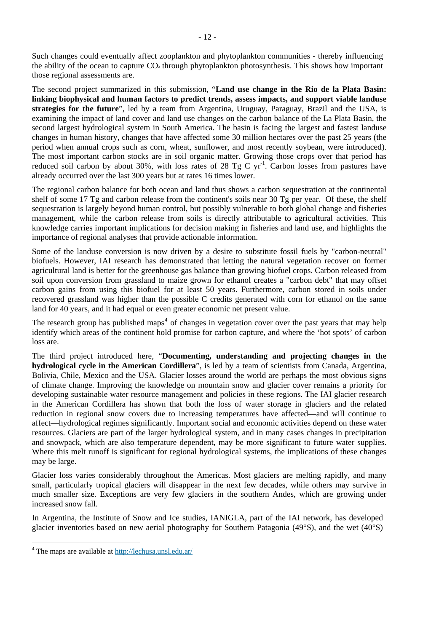Such changes could eventually affect zooplankton and phytoplankton communities - thereby influencing the ability of the ocean to capture CO<sub>2</sub> through phytoplankton photosynthesis. This shows how important those regional assessments are.

The second project summarized in this submission, "**Land use change in the Rio de la Plata Basin: linking biophysical and human factors to predict trends, assess impacts, and support viable landuse strategies for the future**", led by a team from Argentina, Uruguay, Paraguay, Brazil and the USA, is examining the impact of land cover and land use changes on the carbon balance of the La Plata Basin, the second largest hydrological system in South America. The basin is facing the largest and fastest landuse changes in human history, changes that have affected some 30 million hectares over the past 25 years (the period when annual crops such as corn, wheat, sunflower, and most recently soybean, were introduced). The most important carbon stocks are in soil organic matter. Growing those crops over that period has reduced soil carbon by about 30%, with loss rates of 28 Tg C  $yr^{-1}$ . Carbon losses from pastures have already occurred over the last 300 years but at rates 16 times lower.

The regional carbon balance for both ocean and land thus shows a carbon sequestration at the continental shelf of some 17 Tg and carbon release from the continent's soils near 30 Tg per year. Of these, the shelf sequestration is largely beyond human control, but possibly vulnerable to both global change and fisheries management, while the carbon release from soils is directly attributable to agricultural activities. This knowledge carries important implications for decision making in fisheries and land use, and highlights the importance of regional analyses that provide actionable information.

Some of the landuse conversion is now driven by a desire to substitute fossil fuels by "carbon-neutral" biofuels. However, IAI research has demonstrated that letting the natural vegetation recover on former agricultural land is better for the greenhouse gas balance than growing biofuel crops. Carbon released from soil upon conversion from grassland to maize grown for ethanol creates a "carbon debt" that may offset carbon gains from using this biofuel for at least 50 years. Furthermore, carbon stored in soils under recovered grassland was higher than the possible C credits generated with corn for ethanol on the same land for 40 years, and it had equal or even greater economic net present value.

The research group has published maps<sup>[4](#page-11-0)</sup> of changes in vegetation cover over the past years that may help identify which areas of the continent hold promise for carbon capture, and where the 'hot spots' of carbon loss are.

The third project introduced here, "**Documenting, understanding and projecting changes in the hydrological cycle in the American Cordillera**", is led by a team of scientists from Canada, Argentina, Bolivia, Chile, Mexico and the USA. Glacier losses around the world are perhaps the most obvious signs of climate change. Improving the knowledge on mountain snow and glacier cover remains a priority for developing sustainable water resource management and policies in these regions. The IAI glacier research in the American Cordillera has shown that both the loss of water storage in glaciers and the related reduction in regional snow covers due to increasing temperatures have affected—and will continue to affect—hydrological regimes significantly. Important social and economic activities depend on these water resources. Glaciers are part of the larger hydrological system, and in many cases changes in precipitation and snowpack, which are also temperature dependent, may be more significant to future water supplies. Where this melt runoff is significant for regional hydrological systems, the implications of these changes may be large.

Glacier loss varies considerably throughout the Americas. Most glaciers are melting rapidly, and many small, particularly tropical glaciers will disappear in the next few decades, while others may survive in much smaller size. Exceptions are very few glaciers in the southern Andes, which are growing under increased snow fall.

In Argentina, the Institute of Snow and Ice studies, IANIGLA, part of the IAI network, has developed glacier inventories based on new aerial photography for Southern Patagonia (49°S), and the wet (40°S)

l

<span id="page-11-0"></span><sup>&</sup>lt;sup>4</sup> The maps are available at<http://lechusa.unsl.edu.ar/>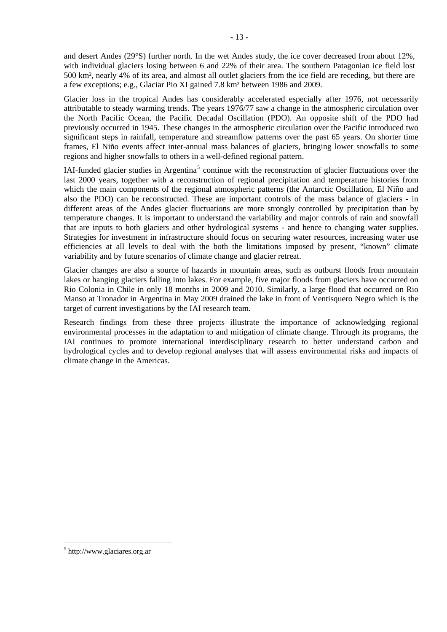and desert Andes (29°S) further north. In the wet Andes study, the ice cover decreased from about 12%, with individual glaciers losing between 6 and 22% of their area. The southern Patagonian ice field lost 500 km², nearly 4% of its area, and almost all outlet glaciers from the ice field are receding, but there are a few exceptions; e.g., Glaciar Pio XI gained 7.8 km² between 1986 and 2009.

Glacier loss in the tropical Andes has considerably accelerated especially after 1976, not necessarily attributable to steady warming trends. The years 1976/77 saw a change in the atmospheric circulation over the North Pacific Ocean, the Pacific Decadal Oscillation (PDO). An opposite shift of the PDO had previously occurred in 1945. These changes in the atmospheric circulation over the Pacific introduced two significant steps in rainfall, temperature and streamflow patterns over the past 65 years. On shorter time frames, El Niño events affect inter-annual mass balances of glaciers, bringing lower snowfalls to some regions and higher snowfalls to others in a well-defined regional pattern.

IAI-funded glacier studies in Argentina<sup>[5](#page-12-0)</sup> continue with the reconstruction of glacier fluctuations over the last 2000 years, together with a reconstruction of regional precipitation and temperature histories from which the main components of the regional atmospheric patterns (the Antarctic Oscillation, El Niño and also the PDO) can be reconstructed. These are important controls of the mass balance of glaciers - in different areas of the Andes glacier fluctuations are more strongly controlled by precipitation than by temperature changes. It is important to understand the variability and major controls of rain and snowfall that are inputs to both glaciers and other hydrological systems - and hence to changing water supplies. Strategies for investment in infrastructure should focus on securing water resources, increasing water use efficiencies at all levels to deal with the both the limitations imposed by present, "known" climate variability and by future scenarios of climate change and glacier retreat.

Glacier changes are also a source of hazards in mountain areas, such as outburst floods from mountain lakes or hanging glaciers falling into lakes. For example, five major floods from glaciers have occurred on Rio Colonia in Chile in only 18 months in 2009 and 2010. Similarly, a large flood that occurred on Rio Manso at Tronador in Argentina in May 2009 drained the lake in front of Ventisquero Negro which is the target of current investigations by the IAI research team.

Research findings from these three projects illustrate the importance of acknowledging regional environmental processes in the adaptation to and mitigation of climate change. Through its programs, the IAI continues to promote international interdisciplinary research to better understand carbon and hydrological cycles and to develop regional analyses that will assess environmental risks and impacts of climate change in the Americas.

<u>.</u>

<span id="page-12-0"></span><sup>5</sup> http://www.glaciares.org.ar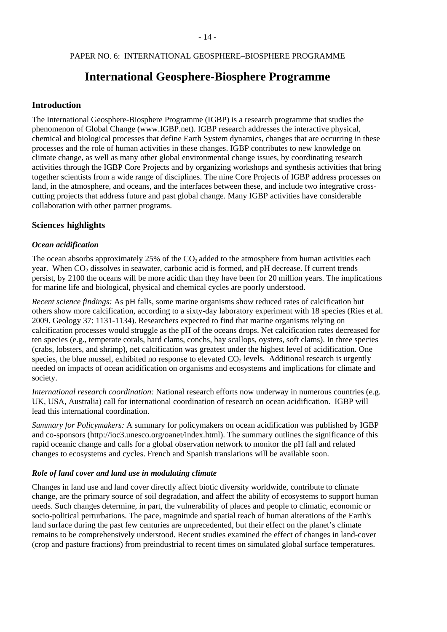#### PAPER NO. 6: INTERNATIONAL GEOSPHERE–BIOSPHERE PROGRAMME

# **International Geosphere-Biosphere Programme**

#### **Introduction**

The International Geosphere-Biosphere Programme (IGBP) is a research programme that studies the phenomenon of Global Change (www.IGBP.net). IGBP research addresses the interactive physical, chemical and biological processes that define Earth System dynamics, changes that are occurring in these processes and the role of human activities in these changes. IGBP contributes to new knowledge on climate change, as well as many other global environmental change issues, by coordinating research activities through the IGBP Core Projects and by organizing workshops and synthesis activities that bring together scientists from a wide range of disciplines. The nine Core Projects of IGBP address processes on land, in the atmosphere, and oceans, and the interfaces between these, and include two integrative crosscutting projects that address future and past global change. Many IGBP activities have considerable collaboration with other partner programs.

#### **Sciences highlights**

#### *Ocean acidification*

The ocean absorbs approximately 25% of the  $CO<sub>2</sub>$  added to the atmosphere from human activities each year. When  $CO<sub>2</sub>$  dissolves in seawater, carbonic acid is formed, and pH decrease. If current trends persist, by 2100 the oceans will be more acidic than they have been for 20 million years. The implications for marine life and biological, physical and chemical cycles are poorly understood.

*Recent science findings:* As pH falls, some marine organisms show reduced rates of calcification but others show more calcification, according to a sixty-day laboratory experiment with 18 species (Ries et al. 2009. Geology 37: 1131-1134). Researchers expected to find that marine organisms relying on calcification processes would struggle as the pH of the oceans drops. Net calcification rates decreased for ten species (e.g., temperate corals, hard clams, conchs, bay scallops, oysters, soft clams). In three species (crabs, lobsters, and shrimp), net calcification was greatest under the highest level of acidification. One species, the blue mussel, exhibited no response to elevated  $CO<sub>2</sub>$  levels. Additional research is urgently needed on impacts of ocean acidification on organisms and ecosystems and implications for climate and society.

*International research coordination:* National research efforts now underway in numerous countries (e.g. UK, USA, Australia) call for international coordination of research on ocean acidification. IGBP will lead this international coordination.

*Summary for Policymakers:* A summary for policymakers on ocean acidification was published by IGBP and co-sponsors (http://ioc3.unesco.org/oanet/index.html). The summary outlines the significance of this rapid oceanic change and calls for a global observation network to monitor the pH fall and related changes to ecosystems and cycles. French and Spanish translations will be available soon.

#### *Role of land cover and land use in modulating climate*

Changes in land use and land cover directly affect biotic diversity worldwide, contribute to climate change, are the primary source of soil degradation, and affect the ability of ecosystems to support human needs. Such changes determine, in part, the vulnerability of places and people to climatic, economic or socio-political perturbations. The pace, magnitude and spatial reach of human alterations of the Earth's land surface during the past few centuries are unprecedented, but their effect on the planet's climate remains to be comprehensively understood. Recent studies examined the effect of changes in land-cover (crop and pasture fractions) from preindustrial to recent times on simulated global surface temperatures.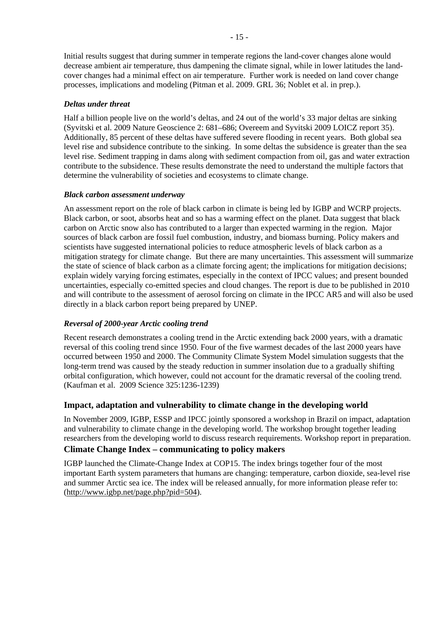Initial results suggest that during summer in temperate regions the land-cover changes alone would decrease ambient air temperature, thus dampening the climate signal, while in lower latitudes the landcover changes had a minimal effect on air temperature. Further work is needed on land cover change processes, implications and modeling (Pitman et al. 2009. GRL 36; Noblet et al. in prep.).

## *Deltas under threat*

Half a billion people live on the world's deltas, and 24 out of the world's 33 major deltas are sinking (Syvitski et al. 2009 Nature Geoscience 2: 681–686; Overeem and Syvitski 2009 LOICZ report 35). Additionally, 85 percent of these deltas have suffered severe flooding in recent years. Both global sea level rise and subsidence contribute to the sinking. In some deltas the subsidence is greater than the sea level rise. Sediment trapping in dams along with sediment compaction from oil, gas and water extraction contribute to the subsidence. These results demonstrate the need to understand the multiple factors that determine the vulnerability of societies and ecosystems to climate change.

#### *Black carbon assessment underway*

An assessment report on the role of black carbon in climate is being led by IGBP and WCRP projects. Black carbon, or soot, absorbs heat and so has a warming effect on the planet. Data suggest that black carbon on Arctic snow also has contributed to a larger than expected warming in the region. Major sources of black carbon are fossil fuel combustion, industry, and biomass burning. Policy makers and scientists have suggested international policies to reduce atmospheric levels of black carbon as a mitigation strategy for climate change. But there are many uncertainties. This assessment will summarize the state of science of black carbon as a climate forcing agent; the implications for mitigation decisions; explain widely varying forcing estimates, especially in the context of IPCC values; and present bounded uncertainties, especially co-emitted species and cloud changes. The report is due to be published in 2010 and will contribute to the assessment of aerosol forcing on climate in the IPCC AR5 and will also be used directly in a black carbon report being prepared by UNEP.

## *Reversal of 2000-year Arctic cooling trend*

Recent research demonstrates a cooling trend in the Arctic extending back 2000 years, with a dramatic reversal of this cooling trend since 1950. Four of the five warmest decades of the last 2000 years have occurred between 1950 and 2000. The Community Climate System Model simulation suggests that the long-term trend was caused by the steady reduction in summer insolation due to a gradually shifting orbital configuration, which however, could not account for the dramatic reversal of the cooling trend. (Kaufman et al. 2009 Science 325:1236-1239)

## **Impact, adaptation and vulnerability to climate change in the developing world**

In November 2009, IGBP, ESSP and IPCC jointly sponsored a workshop in Brazil on impact, adaptation and vulnerability to climate change in the developing world. The workshop brought together leading researchers from the developing world to discuss research requirements. Workshop report in preparation.

## **Climate Change Index – communicating to policy makers**

IGBP launched the Climate-Change Index at COP15. The index brings together four of the most important Earth system parameters that humans are changing: temperature, carbon dioxide, sea-level rise and summer Arctic sea ice. The index will be released annually, for more information please refer to: (<http://www.igbp.net/page.php?pid=504>).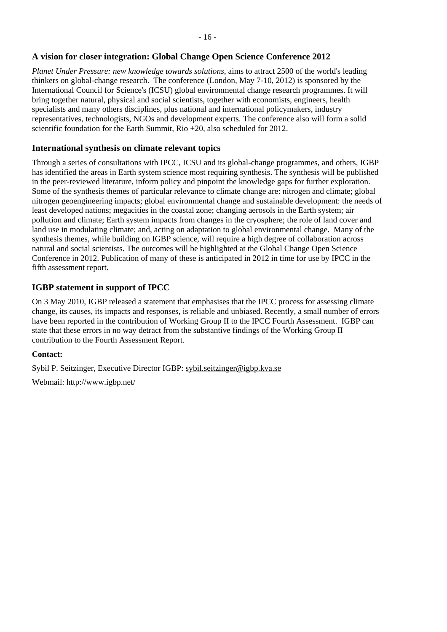# **A vision for closer integration: Global Change Open Science Conference 2012**

*Planet Under Pressure: new knowledge towards solutions*, aims to attract 2500 of the world's leading thinkers on global-change research.The conference (London, May 7-10, 2012) is sponsored by the International Council for Science's (ICSU) global environmental change research programmes. It will bring together natural, physical and social scientists, together with economists, engineers, health specialists and many others disciplines, plus national and international policymakers, industry representatives, technologists, NGOs and development experts. The conference also will form a solid scientific foundation for the Earth Summit, Rio  $+20$ , also scheduled for 2012.

## **International synthesis on climate relevant topics**

Through a series of consultations with IPCC, ICSU and its global-change programmes, and others, IGBP has identified the areas in Earth system science most requiring synthesis. The synthesis will be published in the peer-reviewed literature, inform policy and pinpoint the knowledge gaps for further exploration. Some of the synthesis themes of particular relevance to climate change are: nitrogen and climate; global nitrogen geoengineering impacts; global environmental change and sustainable development: the needs of least developed nations; megacities in the coastal zone; changing aerosols in the Earth system; air pollution and climate; Earth system impacts from changes in the cryosphere; the role of land cover and land use in modulating climate; and, acting on adaptation to global environmental change. Many of the synthesis themes, while building on IGBP science, will require a high degree of collaboration across natural and social scientists. The outcomes will be highlighted at the Global Change Open Science Conference in 2012. Publication of many of these is anticipated in 2012 in time for use by IPCC in the fifth assessment report.

## **IGBP statement in support of IPCC**

On 3 May 2010, IGBP released a statement that emphasises that the IPCC process for assessing climate change, its causes, its impacts and responses, is reliable and unbiased. Recently, a small number of errors have been reported in the contribution of Working Group II to the IPCC Fourth Assessment. IGBP can state that these errors in no way detract from the substantive findings of the Working Group II contribution to the Fourth Assessment Report.

## **Contact:**

Sybil P. Seitzinger, Executive Director IGBP: [sybil.seitzinger@igbp.kva.se](mailto:sybil.seitzinger@igbp.kva.se)

Webmail: http://www.igbp.net/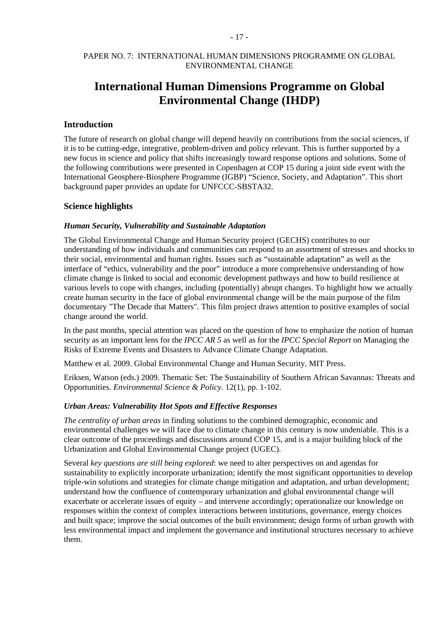#### PAPER NO. 7: INTERNATIONAL HUMAN DIMENSIONS PROGRAMME ON GLOBAL ENVIRONMENTAL CHANGE

# **International Human Dimensions Programme on Global Environmental Change (IHDP)**

#### **Introduction**

The future of research on global change will depend heavily on contributions from the social sciences, if it is to be cutting-edge, integrative, problem-driven and policy relevant. This is further supported by a new focus in science and policy that shifts increasingly toward response options and solutions. Some of the following contributions were presented in Copenhagen at COP 15 during a joint side event with the International Geosphere-Biosphere Programme (IGBP) "Science, Society, and Adaptation". This short background paper provides an update for UNFCCC-SBSTA32.

#### **Science highlights**

#### *Human Security, Vulnerability and Sustainable Adaptation*

The Global Environmental Change and Human Security project (GECHS) contributes to our understanding of how individuals and communities can respond to an assortment of stresses and shocks to their social, environmental and human rights. Issues such as "sustainable adaptation" as well as the interface of "ethics, vulnerability and the poor" introduce a more comprehensive understanding of how climate change is linked to social and economic development pathways and how to build resilience at various levels to cope with changes, including (potentially) abrupt changes. To highlight how we actually create human security in the face of global environmental change will be the main purpose of the film documentary "The Decade that Matters". This film project draws attention to positive examples of social change around the world.

In the past months, special attention was placed on the question of how to emphasize the notion of human security as an important lens for the *IPCC AR 5* as well as for the *IPCC Special Report* on Managing the Risks of Extreme Events and Disasters to Advance Climate Change Adaptation.

Matthew et al. 2009. Global Environmental Change and Human Security. MIT Press.

Eriksen, Watson (eds.) 2009. Thematic Set: The Sustainability of Southern African Savannas: Threats and Opportunities. *Environmental Science & Policy*. 12(1), pp. 1-102.

#### *Urban Areas: Vulnerability Hot Spots and Effective Responses*

*The centrality of urban areas* in finding solutions to the combined demographic, economic and environmental challenges we will face due to climate change in this century is now undeniable. This is a clear outcome of the proceedings and discussions around COP 15, and is a major building block of the Urbanization and Global Environmental Change project (UGEC).

Several *key questions are still being explored*: we need to alter perspectives on and agendas for sustainability to explicitly incorporate urbanization; identify the most significant opportunities to develop triple-win solutions and strategies for climate change mitigation and adaptation, and urban development; understand how the confluence of contemporary urbanization and global environmental change will exacerbate or accelerate issues of equity – and intervene accordingly; operationalize our knowledge on responses within the context of complex interactions between institutions, governance, energy choices and built space; improve the social outcomes of the built environment; design forms of urban growth with less environmental impact and implement the governance and institutional structures necessary to achieve them.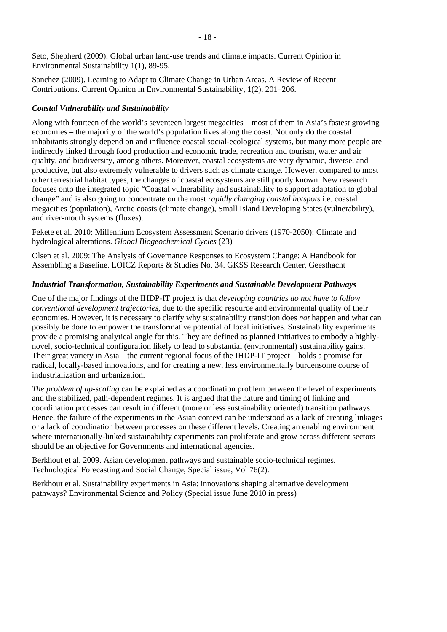Seto, Shepherd (2009). Global urban land-use trends and climate impacts. Current Opinion in Environmental Sustainability 1(1), 89-95.

Sanchez (2009). Learning to Adapt to Climate Change in Urban Areas. A Review of Recent Contributions. Current Opinion in Environmental Sustainability, 1(2), 201–206.

### *Coastal Vulnerability and Sustainability*

Along with fourteen of the world's seventeen largest megacities – most of them in Asia's fastest growing economies – the majority of the world's population lives along the coast. Not only do the coastal inhabitants strongly depend on and influence coastal social-ecological systems, but many more people are indirectly linked through food production and economic trade, recreation and tourism, water and air quality, and biodiversity, among others. Moreover, coastal ecosystems are very dynamic, diverse, and productive, but also extremely vulnerable to drivers such as climate change. However, compared to most other terrestrial habitat types, the changes of coastal ecosystems are still poorly known. New research focuses onto the integrated topic "Coastal vulnerability and sustainability to support adaptation to global change" and is also going to concentrate on the most *rapidly changing coastal hotspots* i.e. coastal megacities (population), Arctic coasts (climate change), Small Island Developing States (vulnerability), and river-mouth systems (fluxes).

Fekete et al. 2010: Millennium Ecosystem Assessment Scenario drivers (1970-2050): Climate and hydrological alterations. *Global Biogeochemical Cycles* (23)

Olsen et al. 2009: The Analysis of Governance Responses to Ecosystem Change: A Handbook for Assembling a Baseline. LOICZ Reports & Studies No. 34. GKSS Research Center, Geesthacht

### *Industrial Transformation, Sustainability Experiments and Sustainable Development Pathways*

One of the major findings of the IHDP-IT project is that *developing countries do not have to follow conventional development trajectories,* due to the specific resource and environmental quality of their economies. However, it is necessary to clarify why sustainability transition does *not* happen and what can possibly be done to empower the transformative potential of local initiatives. Sustainability experiments provide a promising analytical angle for this. They are defined as planned initiatives to embody a highlynovel, socio-technical configuration likely to lead to substantial (environmental) sustainability gains. Their great variety in Asia – the current regional focus of the IHDP-IT project – holds a promise for radical, locally-based innovations, and for creating a new, less environmentally burdensome course of industrialization and urbanization.

*The problem of up-scaling* can be explained as a coordination problem between the level of experiments and the stabilized, path-dependent regimes. It is argued that the nature and timing of linking and coordination processes can result in different (more or less sustainability oriented) transition pathways. Hence, the failure of the experiments in the Asian context can be understood as a lack of creating linkages or a lack of coordination between processes on these different levels. Creating an enabling environment where internationally-linked sustainability experiments can proliferate and grow across different sectors should be an objective for Governments and international agencies.

Berkhout et al. 2009. Asian development pathways and sustainable socio-technical regimes. Technological Forecasting and Social Change, Special issue, Vol 76(2).

Berkhout et al. Sustainability experiments in Asia: innovations shaping alternative development pathways? Environmental Science and Policy (Special issue June 2010 in press)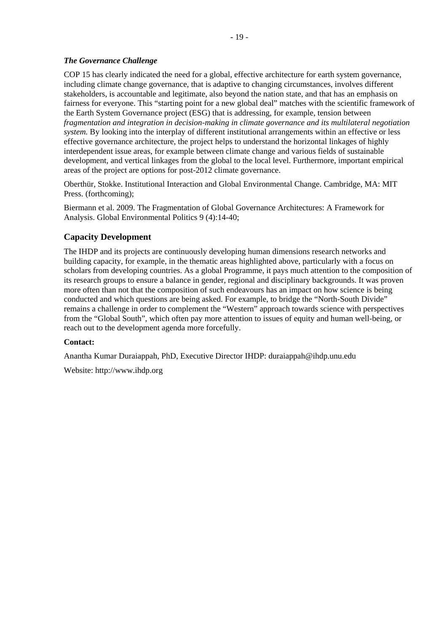### *The Governance Challenge*

COP 15 has clearly indicated the need for a global, effective architecture for earth system governance, including climate change governance, that is adaptive to changing circumstances, involves different stakeholders, is accountable and legitimate, also beyond the nation state, and that has an emphasis on fairness for everyone. This "starting point for a new global deal" matches with the scientific framework of the Earth System Governance project (ESG) that is addressing, for example, tension between *fragmentation and integration in decision-making in climate governance and its multilateral negotiation system.* By looking into the interplay of different institutional arrangements within an effective or less effective governance architecture, the project helps to understand the horizontal linkages of highly interdependent issue areas, for example between climate change and various fields of sustainable development, and vertical linkages from the global to the local level. Furthermore, important empirical areas of the project are options for post-2012 climate governance.

Oberthür, Stokke. Institutional Interaction and Global Environmental Change. Cambridge, MA: MIT Press. (forthcoming);

Biermann et al. 2009. The Fragmentation of Global Governance Architectures: A Framework for Analysis. Global Environmental Politics 9 (4):14-40;

## **Capacity Development**

The IHDP and its projects are continuously developing human dimensions research networks and building capacity, for example, in the thematic areas highlighted above, particularly with a focus on scholars from developing countries. As a global Programme, it pays much attention to the composition of its research groups to ensure a balance in gender, regional and disciplinary backgrounds. It was proven more often than not that the composition of such endeavours has an impact on how science is being conducted and which questions are being asked. For example, to bridge the "North-South Divide" remains a challenge in order to complement the "Western" approach towards science with perspectives from the "Global South", which often pay more attention to issues of equity and human well-being, or reach out to the development agenda more forcefully.

#### **Contact:**

Anantha Kumar Duraiappah, PhD, Executive Director IHDP: [duraiappah@ihdp.unu.edu](mailto:duraiappah@ihdp.unu.edu)

Website: http://www.ihdp.org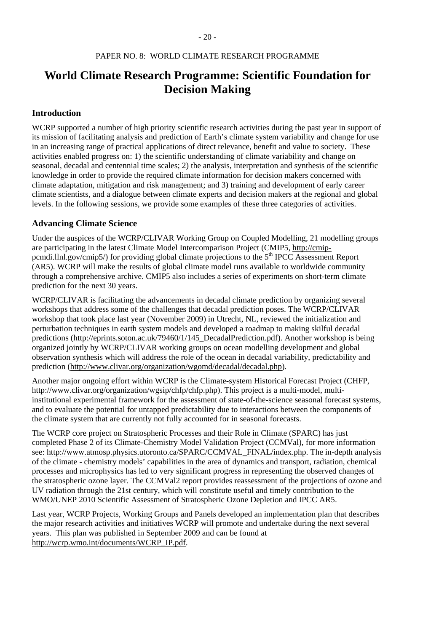# **World Climate Research Programme: Scientific Foundation for Decision Making**

## **Introduction**

WCRP supported a number of high priority scientific research activities during the past year in support of its mission of facilitating analysis and prediction of Earth's climate system variability and change for use in an increasing range of practical applications of direct relevance, benefit and value to society. These activities enabled progress on: 1) the scientific understanding of climate variability and change on seasonal, decadal and centennial time scales; 2) the analysis, interpretation and synthesis of the scientific knowledge in order to provide the required climate information for decision makers concerned with climate adaptation, mitigation and risk management; and 3) training and development of early career climate scientists, and a dialogue between climate experts and decision makers at the regional and global levels. In the following sessions, we provide some examples of these three categories of activities.

#### **Advancing Climate Science**

Under the auspices of the WCRP/CLIVAR Working Group on Coupled Modelling, 21 modelling groups are participating in the latest Climate Model Intercomparison Project (CMIP5, [http://cmip](http://cmip-pcmdi.llnl.gov/cmip5/)[pcmdi.llnl.gov/cmip5/](http://cmip-pcmdi.llnl.gov/cmip5/)) for providing global climate projections to the 5<sup>th</sup> IPCC Assessment Report (AR5). WCRP will make the results of global climate model runs available to worldwide community through a comprehensive archive. CMIP5 also includes a series of experiments on short-term climate prediction for the next 30 years.

WCRP/CLIVAR is facilitating the advancements in decadal climate prediction by organizing several workshops that address some of the challenges that decadal prediction poses. The WCRP/CLIVAR workshop that took place last year (November 2009) in Utrecht, NL, reviewed the initialization and perturbation techniques in earth system models and developed a roadmap to making skilful decadal predictions ([http://eprints.soton.ac.uk/79460/1/145\\_DecadalPrediction.pdf](http://eprints.soton.ac.uk/79460/1/145_DecadalPrediction.pdf)). Another workshop is being organized jointly by WCRP/CLIVAR working groups on ocean modelling development and global observation synthesis which will address the role of the ocean in decadal variability, predictability and prediction ([http://www.clivar.org/organization/wgomd/decadal/decadal.php\)](http://www.clivar.org/organization/wgomd/decadal/decadal.php).

Another major ongoing effort within WCRP is the Climate-system Historical Forecast Project (CHFP, http://www.clivar.org/organization/wgsip/chfp/chfp.php). This project is a multi-model, multiinstitutional experimental framework for the assessment of state-of-the-science seasonal forecast systems, and to evaluate the potential for untapped predictability due to interactions between the components of the climate system that are currently not fully accounted for in seasonal forecasts.

The WCRP core project on Stratospheric Processes and their Role in Climate (SPARC) has just completed Phase 2 of its Climate-Chemistry Model Validation Project (CCMVal), for more information see: [http://www.atmosp.physics.utoronto.ca/SPARC/CCMVAL\\_FINAL/index.php.](http://www.atmosp.physics.utoronto.ca/SPARC/CCMVAL_FINAL/index.php) The in-depth analysis of the climate - chemistry models' capabilities in the area of dynamics and transport, radiation, chemical processes and microphysics has led to very significant progress in representing the observed changes of the stratospheric ozone layer. The CCMVal2 report provides reassessment of the projections of ozone and UV radiation through the 21st century, which will constitute useful and timely contribution to the WMO/UNEP 2010 Scientific Assessment of Stratospheric Ozone Depletion and IPCC AR5.

Last year, WCRP Projects, Working Groups and Panels developed an implementation plan that describes the major research activities and initiatives WCRP will promote and undertake during the next several years. This plan was published in September 2009 and can be found at [http://wcrp.wmo.int/documents/WCRP\\_IP.pdf.](http://wcrp.wmo.int/documents/WCRP_IP.pdf)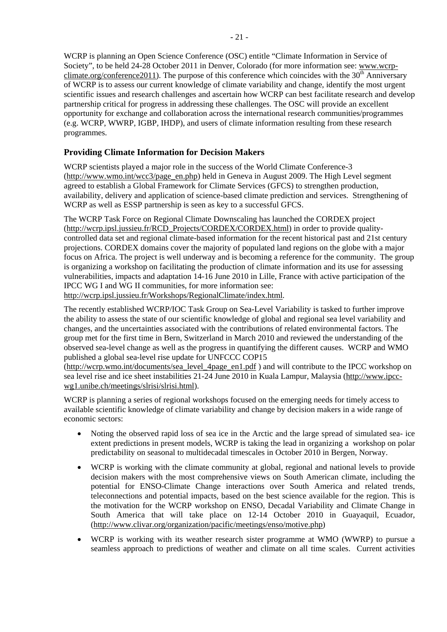WCRP is planning an Open Science Conference (OSC) entitle "Climate Information in Service of Society", to be held 24-28 October 2011 in Denver, Colorado (for more information see: [www.wcrp](http://www.wcrp-climate.org/conference2011)[climate.org/conference2011](http://www.wcrp-climate.org/conference2011)). The purpose of this conference which coincides with the  $30<sup>th</sup>$  Anniversary of WCRP is to assess our current knowledge of climate variability and change, identify the most urgent scientific issues and research challenges and ascertain how WCRP can best facilitate research and develop partnership critical for progress in addressing these challenges. The OSC will provide an excellent opportunity for exchange and collaboration across the international research communities/programmes (e.g. WCRP, WWRP, IGBP, IHDP), and users of climate information resulting from these research programmes.

# **Providing Climate Information for Decision Makers**

WCRP scientists played a major role in the success of the World Climate Conference-3 ([http://www.wmo.int/wcc3/page\\_en.php](http://www.wmo.int/wcc3/page_en.php)) held in Geneva in August 2009. The High Level segment agreed to establish a Global Framework for Climate Services (GFCS) to strengthen production, availability, delivery and application of science-based climate prediction and services. Strengthening of WCRP as well as ESSP partnership is seen as key to a successful GFCS.

The WCRP Task Force on Regional Climate Downscaling has launched the CORDEX project ([http://wcrp.ipsl.jussieu.fr/RCD\\_Projects/CORDEX/CORDEX.html\)](http://wcrp.ipsl.jussieu.fr/RCD_Projects/CORDEX/CORDEX.html) in order to provide qualitycontrolled data set and regional climate-based information for the recent historical past and 21st century projections. CORDEX domains cover the majority of populated land regions on the globe with a major focus on Africa. The project is well underway and is becoming a reference for the community. The group is organizing a workshop on facilitating the production of climate information and its use for assessing vulnerabilities, impacts and adaptation 14-16 June 2010 in Lille, France with active participation of the IPCC WG I and WG II communities, for more information see:

[http://wcrp.ipsl.jussieu.fr/Workshops/RegionalClimate/index.html.](http://wcrp.ipsl.jussieu.fr/Workshops/RegionalClimate/index.html)

The recently established WCRP/IOC Task Group on Sea-Level Variability is tasked to further improve the ability to assess the state of our scientific knowledge of global and regional sea level variability and changes, and the uncertainties associated with the contributions of related environmental factors. The group met for the first time in Bern, Switzerland in March 2010 and reviewed the understanding of the observed sea-level change as well as the progress in quantifying the different causes. WCRP and WMO published a global sea-level rise update for UNFCCC COP15

([http://wcrp.wmo.int/documents/sea\\_level\\_4page\\_en1.pdf](http://wcrp.wmo.int/documents/sea_level_4page_en1.pdf) ) and will contribute to the IPCC workshop on sea level rise and ice sheet instabilities 21-24 June 2010 in Kuala Lampur, Malaysia [\(http://www.ipcc](http://www.ipcc-wg1.unibe.ch/meetings/slrisi/slrisi.html)[wg1.unibe.ch/meetings/slrisi/slrisi.html\)](http://www.ipcc-wg1.unibe.ch/meetings/slrisi/slrisi.html).

WCRP is planning a series of regional workshops focused on the emerging needs for timely access to available scientific knowledge of climate variability and change by decision makers in a wide range of economic sectors:

- Noting the observed rapid loss of sea ice in the Arctic and the large spread of simulated sea- ice extent predictions in present models, WCRP is taking the lead in organizing a workshop on polar predictability on seasonal to multidecadal timescales in October 2010 in Bergen, Norway.
- WCRP is working with the climate community at global, regional and national levels to provide decision makers with the most comprehensive views on South American climate, including the potential for ENSO-Climate Change interactions over South America and related trends, teleconnections and potential impacts, based on the best science available for the region. This is the motivation for the WCRP workshop on ENSO, Decadal Variability and Climate Change in South America that will take place on 12-14 October 2010 in Guayaquil, Ecuador, ([http://www.clivar.org/organization/pacific/meetings/enso/motive.php\)](http://www.clivar.org/organization/pacific/meetings/enso/motive.php)
- WCRP is working with its weather research sister programme at WMO (WWRP) to pursue a seamless approach to predictions of weather and climate on all time scales. Current activities